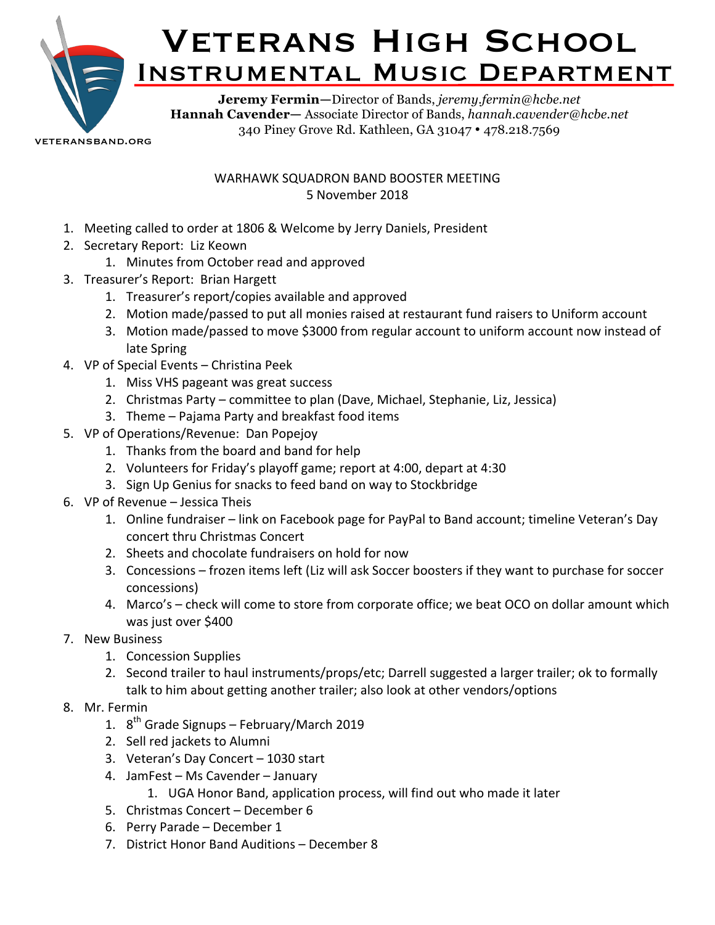

veteransband.org

WARHAWK SQUADRON BAND BOOSTER MEETING 5 November 2018

- 1. Meeting called to order at 1806 & Welcome by Jerry Daniels, President
- 2. Secretary Report: Liz Keown
	- 1. Minutes from October read and approved
- 3. Treasurer's Report: Brian Hargett
	- 1. Treasurer's report/copies available and approved
	- 2. Motion made/passed to put all monies raised at restaurant fund raisers to Uniform account
	- 3. Motion made/passed to move \$3000 from regular account to uniform account now instead of late Spring
- 4. VP of Special Events Christina Peek
	- 1. Miss VHS pageant was great success
	- 2. Christmas Party committee to plan (Dave, Michael, Stephanie, Liz, Jessica)
	- 3. Theme Pajama Party and breakfast food items
- 5. VP of Operations/Revenue: Dan Popejov
	- 1. Thanks from the board and band for help
	- 2. Volunteers for Friday's playoff game; report at 4:00, depart at 4:30
	- 3. Sign Up Genius for snacks to feed band on way to Stockbridge
- 6. VP of Revenue Jessica Theis
	- 1. Online fundraiser link on Facebook page for PayPal to Band account; timeline Veteran's Day concert thru Christmas Concert
	- 2. Sheets and chocolate fundraisers on hold for now
	- 3. Concessions frozen items left (Liz will ask Soccer boosters if they want to purchase for soccer concessions)
	- 4. Marco's check will come to store from corporate office; we beat OCO on dollar amount which was just over \$400
- 7. New Business
	- 1. Concession Supplies
	- 2. Second trailer to haul instruments/props/etc; Darrell suggested a larger trailer; ok to formally talk to him about getting another trailer; also look at other vendors/options
- 8. Mr. Fermin
	- 1.  $8<sup>th</sup>$  Grade Signups February/March 2019
	- 2. Sell red jackets to Alumni
	- 3. Veteran's Day Concert 1030 start
	- 4. JamFest Ms Cavender January
		- 1. UGA Honor Band, application process, will find out who made it later
	- 5. Christmas Concert December 6
	- 6. Perry Parade December 1
	- 7. District Honor Band Auditions December 8